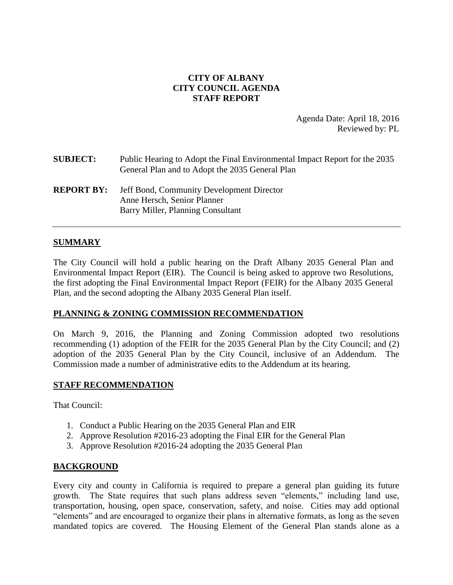# **CITY OF ALBANY CITY COUNCIL AGENDA STAFF REPORT**

Agenda Date: April 18, 2016 Reviewed by: PL

| <b>SUBJECT:</b>   | Public Hearing to Adopt the Final Environmental Impact Report for the 2035<br>General Plan and to Adopt the 2035 General Plan |
|-------------------|-------------------------------------------------------------------------------------------------------------------------------|
| <b>REPORT BY:</b> | Jeff Bond, Community Development Director<br>Anne Hersch, Senior Planner<br>Barry Miller, Planning Consultant                 |

#### **SUMMARY**

The City Council will hold a public hearing on the Draft Albany 2035 General Plan and Environmental Impact Report (EIR). The Council is being asked to approve two Resolutions, the first adopting the Final Environmental Impact Report (FEIR) for the Albany 2035 General Plan, and the second adopting the Albany 2035 General Plan itself.

#### **PLANNING & ZONING COMMISSION RECOMMENDATION**

On March 9, 2016, the Planning and Zoning Commission adopted two resolutions recommending (1) adoption of the FEIR for the 2035 General Plan by the City Council; and (2) adoption of the 2035 General Plan by the City Council, inclusive of an Addendum. The Commission made a number of administrative edits to the Addendum at its hearing.

#### **STAFF RECOMMENDATION**

That Council:

- 1. Conduct a Public Hearing on the 2035 General Plan and EIR
- 2. Approve Resolution #2016-23 adopting the Final EIR for the General Plan
- 3. Approve Resolution #2016-24 adopting the 2035 General Plan

#### **BACKGROUND**

Every city and county in California is required to prepare a general plan guiding its future growth. The State requires that such plans address seven "elements," including land use, transportation, housing, open space, conservation, safety, and noise. Cities may add optional "elements" and are encouraged to organize their plans in alternative formats, as long as the seven mandated topics are covered. The Housing Element of the General Plan stands alone as a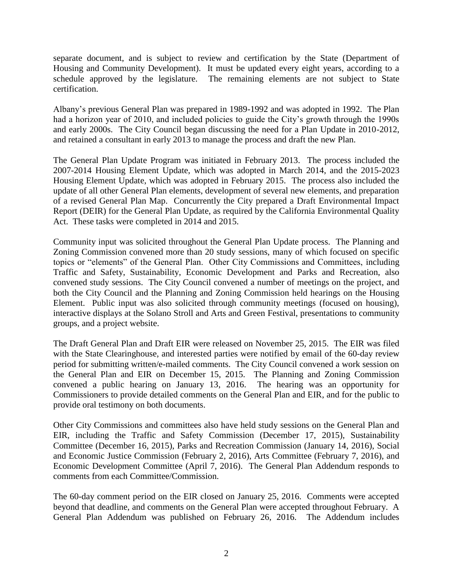separate document, and is subject to review and certification by the State (Department of Housing and Community Development). It must be updated every eight years, according to a schedule approved by the legislature. The remaining elements are not subject to State certification.

Albany's previous General Plan was prepared in 1989-1992 and was adopted in 1992. The Plan had a horizon year of 2010, and included policies to guide the City's growth through the 1990s and early 2000s. The City Council began discussing the need for a Plan Update in 2010-2012, and retained a consultant in early 2013 to manage the process and draft the new Plan.

The General Plan Update Program was initiated in February 2013. The process included the 2007-2014 Housing Element Update, which was adopted in March 2014, and the 2015-2023 Housing Element Update, which was adopted in February 2015. The process also included the update of all other General Plan elements, development of several new elements, and preparation of a revised General Plan Map. Concurrently the City prepared a Draft Environmental Impact Report (DEIR) for the General Plan Update, as required by the California Environmental Quality Act. These tasks were completed in 2014 and 2015.

Community input was solicited throughout the General Plan Update process. The Planning and Zoning Commission convened more than 20 study sessions, many of which focused on specific topics or "elements" of the General Plan. Other City Commissions and Committees, including Traffic and Safety, Sustainability, Economic Development and Parks and Recreation, also convened study sessions. The City Council convened a number of meetings on the project, and both the City Council and the Planning and Zoning Commission held hearings on the Housing Element. Public input was also solicited through community meetings (focused on housing), interactive displays at the Solano Stroll and Arts and Green Festival, presentations to community groups, and a project website.

The Draft General Plan and Draft EIR were released on November 25, 2015. The EIR was filed with the State Clearinghouse, and interested parties were notified by email of the 60-day review period for submitting written/e-mailed comments. The City Council convened a work session on the General Plan and EIR on December 15, 2015. The Planning and Zoning Commission convened a public hearing on January 13, 2016. The hearing was an opportunity for Commissioners to provide detailed comments on the General Plan and EIR, and for the public to provide oral testimony on both documents.

Other City Commissions and committees also have held study sessions on the General Plan and EIR, including the Traffic and Safety Commission (December 17, 2015), Sustainability Committee (December 16, 2015), Parks and Recreation Commission (January 14, 2016), Social and Economic Justice Commission (February 2, 2016), Arts Committee (February 7, 2016), and Economic Development Committee (April 7, 2016). The General Plan Addendum responds to comments from each Committee/Commission.

The 60-day comment period on the EIR closed on January 25, 2016. Comments were accepted beyond that deadline, and comments on the General Plan were accepted throughout February. A General Plan Addendum was published on February 26, 2016. The Addendum includes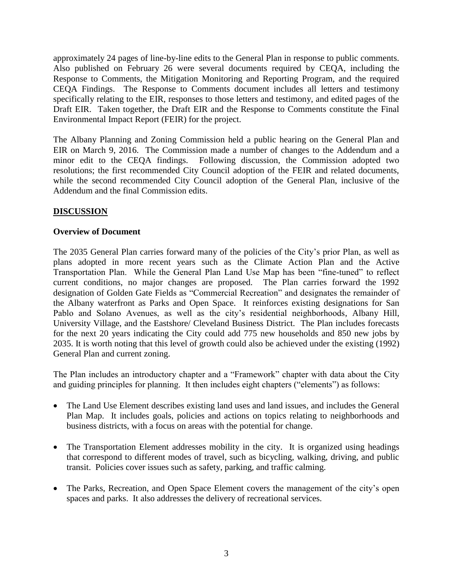approximately 24 pages of line-by-line edits to the General Plan in response to public comments. Also published on February 26 were several documents required by CEQA, including the Response to Comments, the Mitigation Monitoring and Reporting Program, and the required CEQA Findings. The Response to Comments document includes all letters and testimony specifically relating to the EIR, responses to those letters and testimony, and edited pages of the Draft EIR. Taken together, the Draft EIR and the Response to Comments constitute the Final Environmental Impact Report (FEIR) for the project.

The Albany Planning and Zoning Commission held a public hearing on the General Plan and EIR on March 9, 2016. The Commission made a number of changes to the Addendum and a minor edit to the CEQA findings. Following discussion, the Commission adopted two resolutions; the first recommended City Council adoption of the FEIR and related documents, while the second recommended City Council adoption of the General Plan, inclusive of the Addendum and the final Commission edits.

# **DISCUSSION**

## **Overview of Document**

The 2035 General Plan carries forward many of the policies of the City's prior Plan, as well as plans adopted in more recent years such as the Climate Action Plan and the Active Transportation Plan. While the General Plan Land Use Map has been "fine-tuned" to reflect current conditions, no major changes are proposed. The Plan carries forward the 1992 designation of Golden Gate Fields as "Commercial Recreation" and designates the remainder of the Albany waterfront as Parks and Open Space. It reinforces existing designations for San Pablo and Solano Avenues, as well as the city's residential neighborhoods, Albany Hill, University Village, and the Eastshore/ Cleveland Business District. The Plan includes forecasts for the next 20 years indicating the City could add 775 new households and 850 new jobs by 2035. It is worth noting that this level of growth could also be achieved under the existing (1992) General Plan and current zoning.

The Plan includes an introductory chapter and a "Framework" chapter with data about the City and guiding principles for planning. It then includes eight chapters ("elements") as follows:

- The Land Use Element describes existing land uses and land issues, and includes the General Plan Map. It includes goals, policies and actions on topics relating to neighborhoods and business districts, with a focus on areas with the potential for change.
- The Transportation Element addresses mobility in the city. It is organized using headings that correspond to different modes of travel, such as bicycling, walking, driving, and public transit. Policies cover issues such as safety, parking, and traffic calming.
- The Parks, Recreation, and Open Space Element covers the management of the city's open spaces and parks. It also addresses the delivery of recreational services.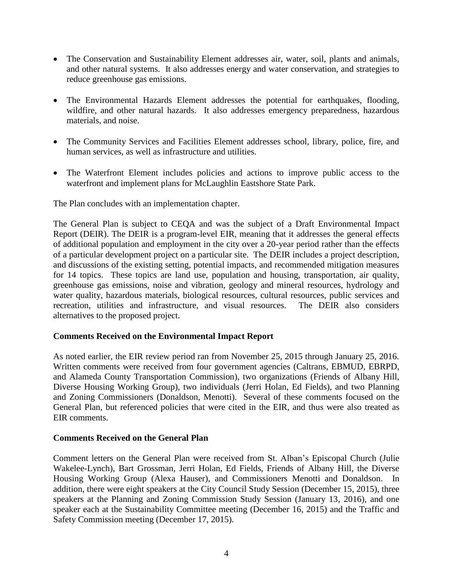- The Conservation and Sustainability Element addresses air, water, soil, plants and animals, and other natural systems. It also addresses energy and water conservation, and strategies to reduce greenhouse gas emissions.
- The Environmental Hazards Element addresses the potential for earthquakes, flooding, wildfire, and other natural hazards. It also addresses emergency preparedness, hazardous materials, and noise.
- The Community Services and Facilities Element addresses school, library, police, fire, and human services, as well as infrastructure and utilities.
- The Waterfront Element includes policies and actions to improve public access to the waterfront and implement plans for McLaughlin Eastshore State Park.

The Plan concludes with an implementation chapter.

The General Plan is subject to CEQA and was the subject of a Draft Environmental Impact Report (DEIR). The DEIR is a program-level EIR, meaning that it addresses the general effects of additional population and employment in the city over a 20-year period rather than the effects of a particular development project on a particular site. The DEIR includes a project description, and discussions of the existing setting, potential impacts, and recommended mitigation measures for 14 topics. These topics are land use, population and housing, transportation, air quality, greenhouse gas emissions, noise and vibration, geology and mineral resources, hydrology and water quality, hazardous materials, biological resources, cultural resources, public services and recreation, utilities and infrastructure, and visual resources. The DEIR also considers alternatives to the proposed project.

#### **Comments Received on the Environmental Impact Report**

As noted earlier, the EIR review period ran from November 25, 2015 through January 25, 2016. Written comments were received from four government agencies (Caltrans, EBMUD, EBRPD, and Alameda County Transportation Commission), two organizations (Friends of Albany Hill, Diverse Housing Working Group), two individuals (Jerri Holan, Ed Fields), and two Planning and Zoning Commissioners (Donaldson, Menotti). Several of these comments focused on the General Plan, but referenced policies that were cited in the EIR, and thus were also treated as EIR comments.

#### **Comments Received on the General Plan**

Comment letters on the General Plan were received from St. Alban's Episcopal Church (Julie Wakelee-Lynch), Bart Grossman, Jerri Holan, Ed Fields, Friends of Albany Hill, the Diverse Housing Working Group (Alexa Hauser), and Commissioners Menotti and Donaldson. In addition, there were eight speakers at the City Council Study Session (December 15, 2015), three speakers at the Planning and Zoning Commission Study Session (January 13, 2016), and one speaker each at the Sustainability Committee meeting (December 16, 2015) and the Traffic and Safety Commission meeting (December 17, 2015).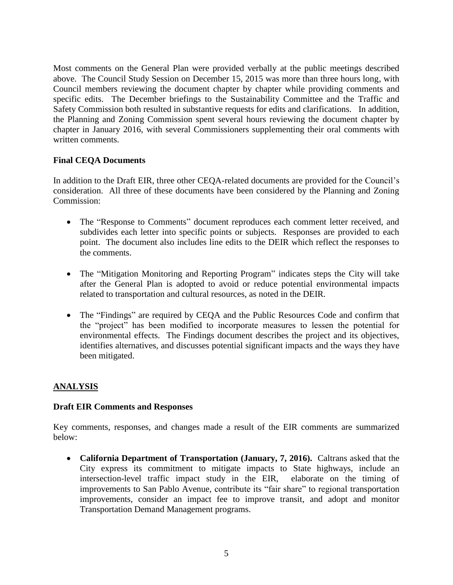Most comments on the General Plan were provided verbally at the public meetings described above. The Council Study Session on December 15, 2015 was more than three hours long, with Council members reviewing the document chapter by chapter while providing comments and specific edits. The December briefings to the Sustainability Committee and the Traffic and Safety Commission both resulted in substantive requests for edits and clarifications. In addition, the Planning and Zoning Commission spent several hours reviewing the document chapter by chapter in January 2016, with several Commissioners supplementing their oral comments with written comments.

# **Final CEQA Documents**

In addition to the Draft EIR, three other CEQA-related documents are provided for the Council's consideration. All three of these documents have been considered by the Planning and Zoning Commission:

- The "Response to Comments" document reproduces each comment letter received, and subdivides each letter into specific points or subjects. Responses are provided to each point. The document also includes line edits to the DEIR which reflect the responses to the comments.
- The "Mitigation Monitoring and Reporting Program" indicates steps the City will take after the General Plan is adopted to avoid or reduce potential environmental impacts related to transportation and cultural resources, as noted in the DEIR.
- The "Findings" are required by CEQA and the Public Resources Code and confirm that the "project" has been modified to incorporate measures to lessen the potential for environmental effects. The Findings document describes the project and its objectives, identifies alternatives, and discusses potential significant impacts and the ways they have been mitigated.

# **ANALYSIS**

#### **Draft EIR Comments and Responses**

Key comments, responses, and changes made a result of the EIR comments are summarized below:

 **California Department of Transportation (January, 7, 2016).** Caltrans asked that the City express its commitment to mitigate impacts to State highways, include an intersection-level traffic impact study in the EIR, elaborate on the timing of improvements to San Pablo Avenue, contribute its "fair share" to regional transportation improvements, consider an impact fee to improve transit, and adopt and monitor Transportation Demand Management programs.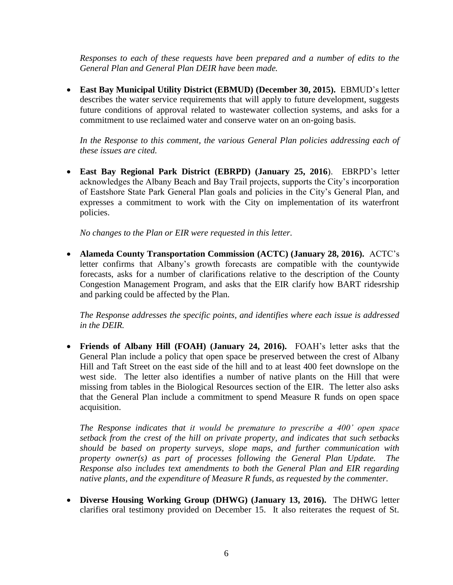*Responses to each of these requests have been prepared and a number of edits to the General Plan and General Plan DEIR have been made.*

 **East Bay Municipal Utility District (EBMUD) (December 30, 2015).** EBMUD's letter describes the water service requirements that will apply to future development, suggests future conditions of approval related to wastewater collection systems, and asks for a commitment to use reclaimed water and conserve water on an on-going basis.

*In the Response to this comment, the various General Plan policies addressing each of these issues are cited.*

 **East Bay Regional Park District (EBRPD) (January 25, 2016**). EBRPD's letter acknowledges the Albany Beach and Bay Trail projects, supports the City's incorporation of Eastshore State Park General Plan goals and policies in the City's General Plan, and expresses a commitment to work with the City on implementation of its waterfront policies.

*No changes to the Plan or EIR were requested in this letter.*

 **Alameda County Transportation Commission (ACTC) (January 28, 2016).** ACTC's letter confirms that Albany's growth forecasts are compatible with the countywide forecasts, asks for a number of clarifications relative to the description of the County Congestion Management Program, and asks that the EIR clarify how BART ridesrship and parking could be affected by the Plan.

*The Response addresses the specific points, and identifies where each issue is addressed in the DEIR.* 

 **Friends of Albany Hill (FOAH) (January 24, 2016).** FOAH's letter asks that the General Plan include a policy that open space be preserved between the crest of Albany Hill and Taft Street on the east side of the hill and to at least 400 feet downslope on the west side. The letter also identifies a number of native plants on the Hill that were missing from tables in the Biological Resources section of the EIR. The letter also asks that the General Plan include a commitment to spend Measure R funds on open space acquisition.

*The Response indicates that it would be premature to prescribe a 400' open space setback from the crest of the hill on private property, and indicates that such setbacks should be based on property surveys, slope maps, and further communication with property owner(s) as part of processes following the General Plan Update. The Response also includes text amendments to both the General Plan and EIR regarding native plants, and the expenditure of Measure R funds, as requested by the commenter.* 

 **Diverse Housing Working Group (DHWG) (January 13, 2016).** The DHWG letter clarifies oral testimony provided on December 15. It also reiterates the request of St.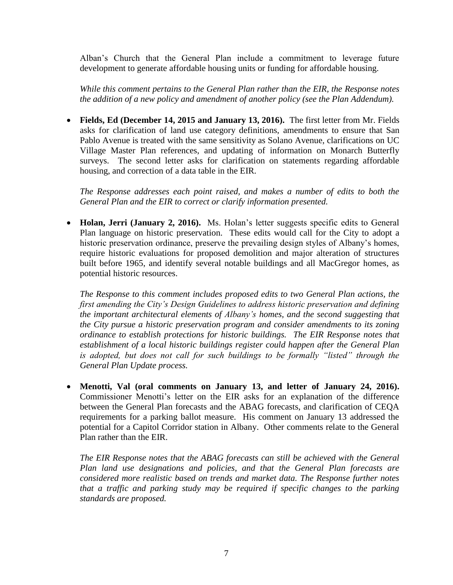Alban's Church that the General Plan include a commitment to leverage future development to generate affordable housing units or funding for affordable housing.

*While this comment pertains to the General Plan rather than the EIR, the Response notes the addition of a new policy and amendment of another policy (see the Plan Addendum).* 

 **Fields, Ed (December 14, 2015 and January 13, 2016).** The first letter from Mr. Fields asks for clarification of land use category definitions, amendments to ensure that San Pablo Avenue is treated with the same sensitivity as Solano Avenue, clarifications on UC Village Master Plan references, and updating of information on Monarch Butterfly surveys. The second letter asks for clarification on statements regarding affordable housing, and correction of a data table in the EIR.

*The Response addresses each point raised, and makes a number of edits to both the General Plan and the EIR to correct or clarify information presented.*

• **Holan, Jerri (January 2, 2016).** Ms. Holan's letter suggests specific edits to General Plan language on historic preservation. These edits would call for the City to adopt a historic preservation ordinance, preserve the prevailing design styles of Albany's homes, require historic evaluations for proposed demolition and major alteration of structures built before 1965, and identify several notable buildings and all MacGregor homes, as potential historic resources.

*The Response to this comment includes proposed edits to two General Plan actions, the first amending the City's Design Guidelines to address historic preservation and defining the important architectural elements of Albany's homes, and the second suggesting that the City pursue a historic preservation program and consider amendments to its zoning ordinance to establish protections for historic buildings. The EIR Response notes that establishment of a local historic buildings register could happen after the General Plan is adopted, but does not call for such buildings to be formally "listed" through the General Plan Update process.*

 **Menotti, Val (oral comments on January 13, and letter of January 24, 2016).** Commissioner Menotti's letter on the EIR asks for an explanation of the difference between the General Plan forecasts and the ABAG forecasts, and clarification of CEQA requirements for a parking ballot measure. His comment on January 13 addressed the potential for a Capitol Corridor station in Albany. Other comments relate to the General Plan rather than the EIR.

*The EIR Response notes that the ABAG forecasts can still be achieved with the General Plan land use designations and policies, and that the General Plan forecasts are considered more realistic based on trends and market data. The Response further notes that a traffic and parking study may be required if specific changes to the parking standards are proposed.*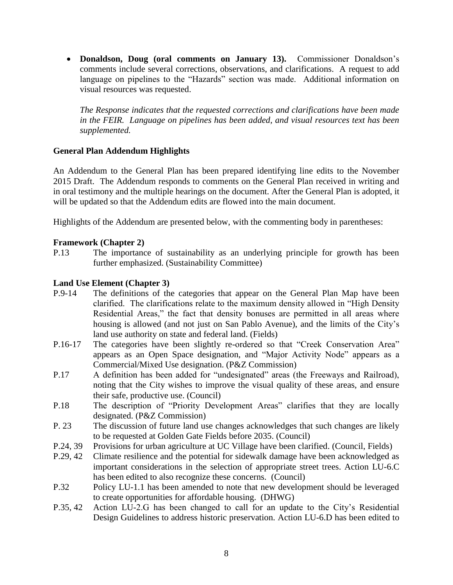**Donaldson, Doug (oral comments on January 13).** Commissioner Donaldson's comments include several corrections, observations, and clarifications. A request to add language on pipelines to the "Hazards" section was made. Additional information on visual resources was requested.

*The Response indicates that the requested corrections and clarifications have been made in the FEIR. Language on pipelines has been added, and visual resources text has been supplemented.*

# **General Plan Addendum Highlights**

An Addendum to the General Plan has been prepared identifying line edits to the November 2015 Draft. The Addendum responds to comments on the General Plan received in writing and in oral testimony and the multiple hearings on the document. After the General Plan is adopted, it will be updated so that the Addendum edits are flowed into the main document.

Highlights of the Addendum are presented below, with the commenting body in parentheses:

## **Framework (Chapter 2)**

P.13 The importance of sustainability as an underlying principle for growth has been further emphasized. (Sustainability Committee)

#### **Land Use Element (Chapter 3)**

- P.9-14 The definitions of the categories that appear on the General Plan Map have been clarified. The clarifications relate to the maximum density allowed in "High Density Residential Areas," the fact that density bonuses are permitted in all areas where housing is allowed (and not just on San Pablo Avenue), and the limits of the City's land use authority on state and federal land. (Fields)
- P.16-17 The categories have been slightly re-ordered so that "Creek Conservation Area" appears as an Open Space designation, and "Major Activity Node" appears as a Commercial/Mixed Use designation. (P&Z Commission)
- P.17 A definition has been added for "undesignated" areas (the Freeways and Railroad), noting that the City wishes to improve the visual quality of these areas, and ensure their safe, productive use. (Council)
- P.18 The description of "Priority Development Areas" clarifies that they are locally designated. (P&Z Commission)
- P. 23 The discussion of future land use changes acknowledges that such changes are likely to be requested at Golden Gate Fields before 2035. (Council)
- P.24, 39 Provisions for urban agriculture at UC Village have been clarified. (Council, Fields)
- P.29, 42 Climate resilience and the potential for sidewalk damage have been acknowledged as important considerations in the selection of appropriate street trees. Action LU-6.C has been edited to also recognize these concerns. (Council)
- P.32 Policy LU-1.1 has been amended to note that new development should be leveraged to create opportunities for affordable housing. (DHWG)
- P.35, 42 Action LU-2.G has been changed to call for an update to the City's Residential Design Guidelines to address historic preservation. Action LU-6.D has been edited to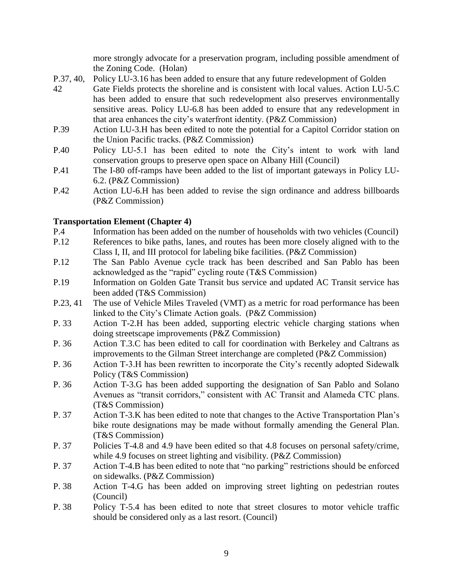more strongly advocate for a preservation program, including possible amendment of the Zoning Code. (Holan)

- P.37, 40, Policy LU-3.16 has been added to ensure that any future redevelopment of Golden
- 42 Gate Fields protects the shoreline and is consistent with local values. Action LU-5.C has been added to ensure that such redevelopment also preserves environmentally sensitive areas. Policy LU-6.8 has been added to ensure that any redevelopment in that area enhances the city's waterfront identity. (P&Z Commission)
- P.39 Action LU-3.H has been edited to note the potential for a Capitol Corridor station on the Union Pacific tracks. (P&Z Commission)
- P.40 Policy LU-5.1 has been edited to note the City's intent to work with land conservation groups to preserve open space on Albany Hill (Council)
- P.41 The I-80 off-ramps have been added to the list of important gateways in Policy LU-6.2. (P&Z Commission)
- P.42 Action LU-6.H has been added to revise the sign ordinance and address billboards (P&Z Commission)

## **Transportation Element (Chapter 4)**

- P.4 Information has been added on the number of households with two vehicles (Council)
- P.12 References to bike paths, lanes, and routes has been more closely aligned with to the Class I, II, and III protocol for labeling bike facilities. (P&Z Commission)
- P.12 The San Pablo Avenue cycle track has been described and San Pablo has been acknowledged as the "rapid" cycling route (T&S Commission)
- P.19 Information on Golden Gate Transit bus service and updated AC Transit service has been added (T&S Commission)
- P.23, 41 The use of Vehicle Miles Traveled (VMT) as a metric for road performance has been linked to the City's Climate Action goals. (P&Z Commission)
- P. 33 Action T-2.H has been added, supporting electric vehicle charging stations when doing streetscape improvements (P&Z Commission)
- P. 36 Action T.3.C has been edited to call for coordination with Berkeley and Caltrans as improvements to the Gilman Street interchange are completed (P&Z Commission)
- P. 36 Action T-3.H has been rewritten to incorporate the City's recently adopted Sidewalk Policy (T&S Commission)
- P. 36 Action T-3.G has been added supporting the designation of San Pablo and Solano Avenues as "transit corridors," consistent with AC Transit and Alameda CTC plans. (T&S Commission)
- P. 37 Action T-3.K has been edited to note that changes to the Active Transportation Plan's bike route designations may be made without formally amending the General Plan. (T&S Commission)
- P. 37 Policies T-4.8 and 4.9 have been edited so that 4.8 focuses on personal safety/crime, while 4.9 focuses on street lighting and visibility. (P&Z Commission)
- P. 37 Action T-4.B has been edited to note that "no parking" restrictions should be enforced on sidewalks. (P&Z Commission)
- P. 38 Action T-4.G has been added on improving street lighting on pedestrian routes (Council)
- P. 38 Policy T-5.4 has been edited to note that street closures to motor vehicle traffic should be considered only as a last resort. (Council)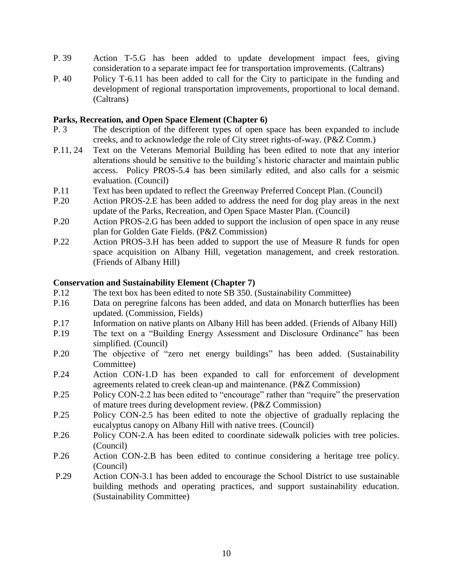- P. 39 Action T-5.G has been added to update development impact fees, giving consideration to a separate impact fee for transportation improvements. (Caltrans)
- P. 40 Policy T-6.11 has been added to call for the City to participate in the funding and development of regional transportation improvements, proportional to local demand. (Caltrans)

### **Parks, Recreation, and Open Space Element (Chapter 6)**

- P. 3 The description of the different types of open space has been expanded to include creeks, and to acknowledge the role of City street rights-of-way. (P&Z Comm.)
- P.11, 24 Text on the Veterans Memorial Building has been edited to note that any interior alterations should be sensitive to the building's historic character and maintain public access. Policy PROS-5.4 has been similarly edited, and also calls for a seismic evaluation. (Council)
- P.11 Text has been updated to reflect the Greenway Preferred Concept Plan. (Council)
- P.20 Action PROS-2.E has been added to address the need for dog play areas in the next update of the Parks, Recreation, and Open Space Master Plan. (Council)
- P.20 Action PROS-2.G has been added to support the inclusion of open space in any reuse plan for Golden Gate Fields. (P&Z Commission)
- P.22 Action PROS-3.H has been added to support the use of Measure R funds for open space acquisition on Albany Hill, vegetation management, and creek restoration. (Friends of Albany Hill)

## **Conservation and Sustainability Element (Chapter 7)**

- P.12 The text box has been edited to note SB 350. (Sustainability Committee)
- P.16 Data on peregrine falcons has been added, and data on Monarch butterflies has been updated. (Commission, Fields)
- P.17 Information on native plants on Albany Hill has been added. (Friends of Albany Hill)
- P.19 The text on a "Building Energy Assessment and Disclosure Ordinance" has been simplified. (Council)
- P.20 The objective of "zero net energy buildings" has been added. (Sustainability Committee)
- P.24 Action CON-1.D has been expanded to call for enforcement of development agreements related to creek clean-up and maintenance. (P&Z Commission)
- P.25 Policy CON-2.2 has been edited to "encourage" rather than "require" the preservation of mature trees during development review. (P&Z Commission)
- P.25 Policy CON-2.5 has been edited to note the objective of gradually replacing the eucalyptus canopy on Albany Hill with native trees. (Council)
- P.26 Policy CON-2.A has been edited to coordinate sidewalk policies with tree policies. (Council)
- P.26 Action CON-2.B has been edited to continue considering a heritage tree policy. (Council)
- P.29 Action CON-3.1 has been added to encourage the School District to use sustainable building methods and operating practices, and support sustainability education. (Sustainability Committee)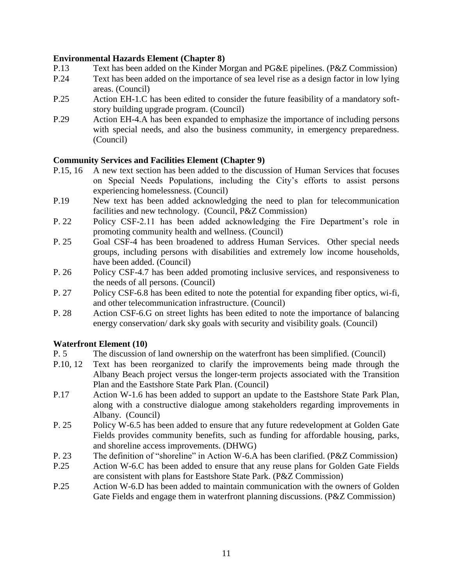# **Environmental Hazards Element (Chapter 8)**

- P.13 Text has been added on the Kinder Morgan and PG&E pipelines. (P&Z Commission)
- P.24 Text has been added on the importance of sea level rise as a design factor in low lying areas. (Council)
- P.25 Action EH-1.C has been edited to consider the future feasibility of a mandatory softstory building upgrade program. (Council)
- P.29 Action EH-4.A has been expanded to emphasize the importance of including persons with special needs, and also the business community, in emergency preparedness. (Council)

## **Community Services and Facilities Element (Chapter 9)**

- P.15, 16 A new text section has been added to the discussion of Human Services that focuses on Special Needs Populations, including the City's efforts to assist persons experiencing homelessness. (Council)
- P.19 New text has been added acknowledging the need to plan for telecommunication facilities and new technology. (Council, P&Z Commission)
- P. 22 Policy CSF-2.11 has been added acknowledging the Fire Department's role in promoting community health and wellness. (Council)
- P. 25 Goal CSF-4 has been broadened to address Human Services. Other special needs groups, including persons with disabilities and extremely low income households, have been added. (Council)
- P. 26 Policy CSF-4.7 has been added promoting inclusive services, and responsiveness to the needs of all persons. (Council)
- P. 27 Policy CSF-6.8 has been edited to note the potential for expanding fiber optics, wi-fi, and other telecommunication infrastructure. (Council)
- P. 28 Action CSF-6.G on street lights has been edited to note the importance of balancing energy conservation/ dark sky goals with security and visibility goals. (Council)

#### **Waterfront Element (10)**

- P. 5 The discussion of land ownership on the waterfront has been simplified. (Council)
- P.10, 12 Text has been reorganized to clarify the improvements being made through the Albany Beach project versus the longer-term projects associated with the Transition Plan and the Eastshore State Park Plan. (Council)
- P.17 Action W-1.6 has been added to support an update to the Eastshore State Park Plan, along with a constructive dialogue among stakeholders regarding improvements in Albany. (Council)
- P. 25 Policy W-6.5 has been added to ensure that any future redevelopment at Golden Gate Fields provides community benefits, such as funding for affordable housing, parks, and shoreline access improvements. (DHWG)
- P. 23 The definition of "shoreline" in Action W-6.A has been clarified. (P&Z Commission)
- P.25 Action W-6.C has been added to ensure that any reuse plans for Golden Gate Fields are consistent with plans for Eastshore State Park. (P&Z Commission)
- P.25 Action W-6.D has been added to maintain communication with the owners of Golden Gate Fields and engage them in waterfront planning discussions. (P&Z Commission)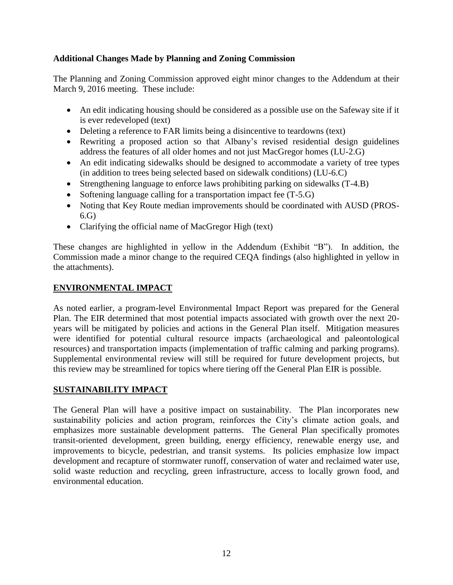# **Additional Changes Made by Planning and Zoning Commission**

The Planning and Zoning Commission approved eight minor changes to the Addendum at their March 9, 2016 meeting. These include:

- An edit indicating housing should be considered as a possible use on the Safeway site if it is ever redeveloped (text)
- Deleting a reference to FAR limits being a disincentive to teardowns (text)
- Rewriting a proposed action so that Albany's revised residential design guidelines address the features of all older homes and not just MacGregor homes (LU-2.G)
- An edit indicating sidewalks should be designed to accommodate a variety of tree types (in addition to trees being selected based on sidewalk conditions) (LU-6.C)
- Strengthening language to enforce laws prohibiting parking on sidewalks (T-4.B)
- Softening language calling for a transportation impact fee (T-5.G)
- Noting that Key Route median improvements should be coordinated with AUSD (PROS-6.G)
- Clarifying the official name of MacGregor High (text)

These changes are highlighted in yellow in the Addendum (Exhibit "B"). In addition, the Commission made a minor change to the required CEQA findings (also highlighted in yellow in the attachments).

## **ENVIRONMENTAL IMPACT**

As noted earlier, a program-level Environmental Impact Report was prepared for the General Plan. The EIR determined that most potential impacts associated with growth over the next 20 years will be mitigated by policies and actions in the General Plan itself. Mitigation measures were identified for potential cultural resource impacts (archaeological and paleontological resources) and transportation impacts (implementation of traffic calming and parking programs). Supplemental environmental review will still be required for future development projects, but this review may be streamlined for topics where tiering off the General Plan EIR is possible.

# **SUSTAINABILITY IMPACT**

The General Plan will have a positive impact on sustainability. The Plan incorporates new sustainability policies and action program, reinforces the City's climate action goals, and emphasizes more sustainable development patterns. The General Plan specifically promotes transit-oriented development, green building, energy efficiency, renewable energy use, and improvements to bicycle, pedestrian, and transit systems. Its policies emphasize low impact development and recapture of stormwater runoff, conservation of water and reclaimed water use, solid waste reduction and recycling, green infrastructure, access to locally grown food, and environmental education.